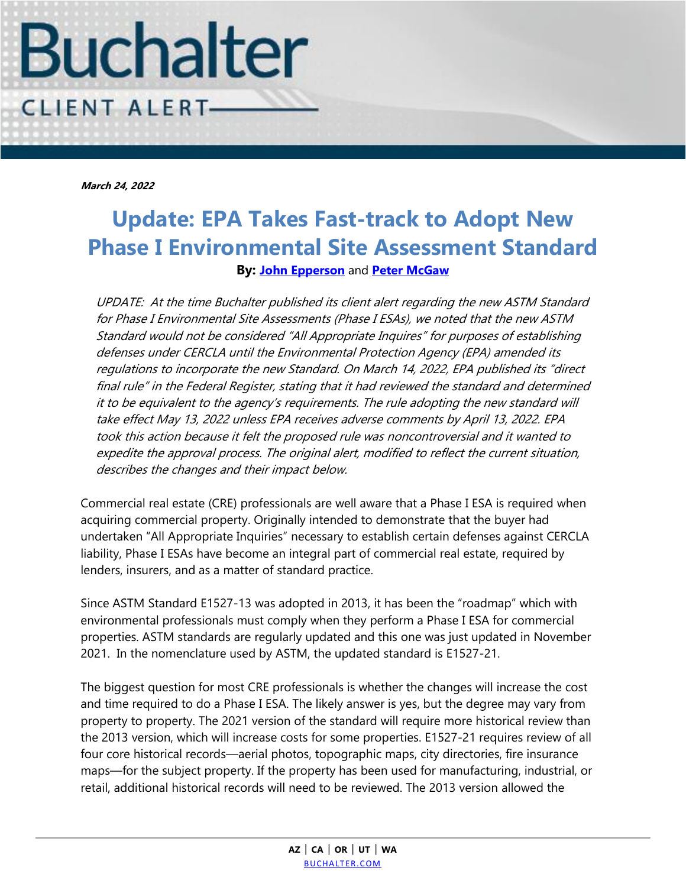

**March 24, 2022**

## **Update: EPA Takes Fast-track to Adopt New Phase I Environmental Site Assessment Standard By: [John Epperson](https://www.buchalter.com/attorneys/john-epperson/#bio)** and **[Peter McGaw](https://www.buchalter.com/attorneys/peter-w-mcgaw/#bio)**

UPDATE: At the time Buchalter published its client alert regarding the new ASTM Standard for Phase I Environmental Site Assessments (Phase I ESAs), we noted that the new ASTM Standard would not be considered "All Appropriate Inquires" for purposes of establishing defenses under CERCLA until the Environmental Protection Agency (EPA) amended its regulations to incorporate the new Standard. On March 14, 2022, EPA published its "direct final rule" in the Federal Register, stating that it had reviewed the standard and determined it to be equivalent to the agency's requirements. The rule adopting the new standard will take effect May 13, 2022 unless EPA receives adverse comments by April 13, 2022. EPA took this action because it felt the proposed rule was noncontroversial and it wanted to expedite the approval process. The original alert, modified to reflect the current situation, describes the changes and their impact below.

Commercial real estate (CRE) professionals are well aware that a Phase I ESA is required when acquiring commercial property. Originally intended to demonstrate that the buyer had undertaken "All Appropriate Inquiries" necessary to establish certain defenses against CERCLA liability, Phase I ESAs have become an integral part of commercial real estate, required by lenders, insurers, and as a matter of standard practice.

Since ASTM Standard E1527-13 was adopted in 2013, it has been the "roadmap" which with environmental professionals must comply when they perform a Phase I ESA for commercial properties. ASTM standards are regularly updated and this one was just updated in November 2021. In the nomenclature used by ASTM, the updated standard is E1527-21.

The biggest question for most CRE professionals is whether the changes will increase the cost and time required to do a Phase I ESA. The likely answer is yes, but the degree may vary from property to property. The 2021 version of the standard will require more historical review than the 2013 version, which will increase costs for some properties. E1527-21 requires review of all four core historical records—aerial photos, topographic maps, city directories, fire insurance maps—for the subject property. If the property has been used for manufacturing, industrial, or retail, additional historical records will need to be reviewed. The 2013 version allowed the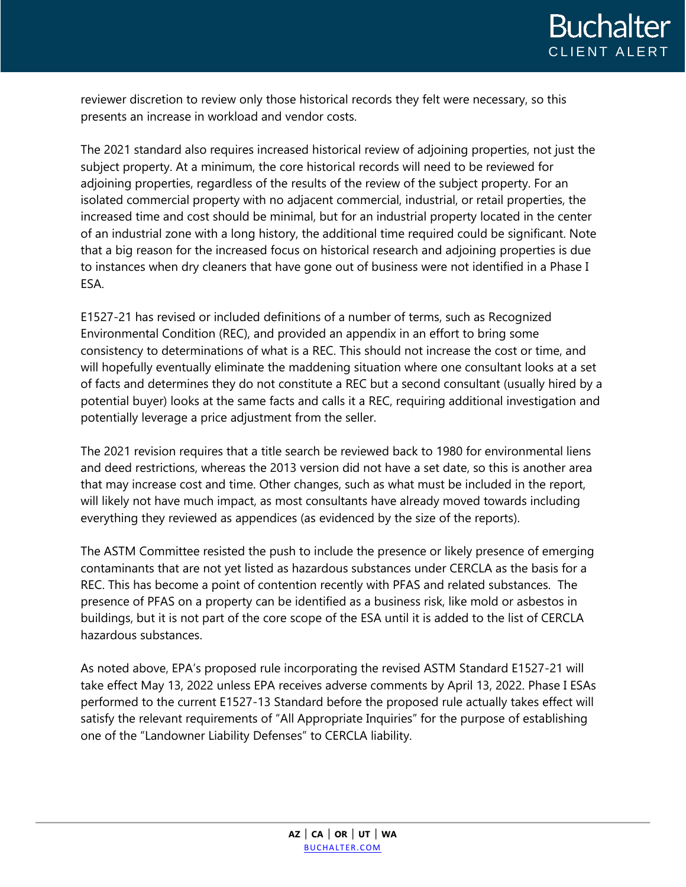reviewer discretion to review only those historical records they felt were necessary, so this presents an increase in workload and vendor costs.

The 2021 standard also requires increased historical review of adjoining properties, not just the subject property. At a minimum, the core historical records will need to be reviewed for adjoining properties, regardless of the results of the review of the subject property. For an isolated commercial property with no adjacent commercial, industrial, or retail properties, the increased time and cost should be minimal, but for an industrial property located in the center of an industrial zone with a long history, the additional time required could be significant. Note that a big reason for the increased focus on historical research and adjoining properties is due to instances when dry cleaners that have gone out of business were not identified in a Phase I ESA.

E1527-21 has revised or included definitions of a number of terms, such as Recognized Environmental Condition (REC), and provided an appendix in an effort to bring some consistency to determinations of what is a REC. This should not increase the cost or time, and will hopefully eventually eliminate the maddening situation where one consultant looks at a set of facts and determines they do not constitute a REC but a second consultant (usually hired by a potential buyer) looks at the same facts and calls it a REC, requiring additional investigation and potentially leverage a price adjustment from the seller.

The 2021 revision requires that a title search be reviewed back to 1980 for environmental liens and deed restrictions, whereas the 2013 version did not have a set date, so this is another area that may increase cost and time. Other changes, such as what must be included in the report, will likely not have much impact, as most consultants have already moved towards including everything they reviewed as appendices (as evidenced by the size of the reports).

The ASTM Committee resisted the push to include the presence or likely presence of emerging contaminants that are not yet listed as hazardous substances under CERCLA as the basis for a REC. This has become a point of contention recently with PFAS and related substances. The presence of PFAS on a property can be identified as a business risk, like mold or asbestos in buildings, but it is not part of the core scope of the ESA until it is added to the list of CERCLA hazardous substances.

As noted above, EPA's proposed rule incorporating the revised ASTM Standard E1527-21 will take effect May 13, 2022 unless EPA receives adverse comments by April 13, 2022. Phase I ESAs performed to the current E1527-13 Standard before the proposed rule actually takes effect will satisfy the relevant requirements of "All Appropriate Inquiries" for the purpose of establishing one of the "Landowner Liability Defenses" to CERCLA liability.